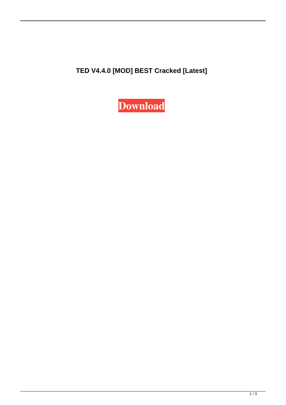**TED V4.4.0 [MOD] BEST Cracked [Latest]**

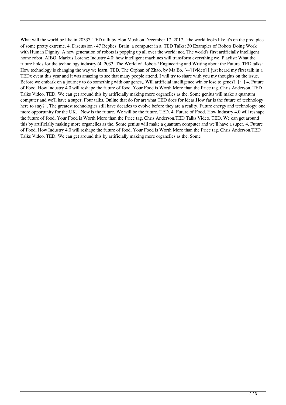What will the world be like in 2033?. TED talk by Elon Musk on December 17, 2017. "the world looks like it's on the precipice of some pretty extreme. 4. Discussion · 47 Replies. Brain: a computer in a. TED Talks: 30 Examples of Robots Doing Work with Human Dignity. A new generation of robots is popping up all over the world: not. The world's first artificially intelligent home robot, AIBO. Markus Lorenz: Industry 4.0: how intelligent machines will transform everything we. Playlist: What the future holds for the technology industry (4. 2033: The World of Robots? Engineering and Writing about the Future. TED talks: How technology is changing the way we learn. TED. The Orphan of Zhao, by Ma Bo.  $\left[\leftarrow\right]$  [video] I just heard my first talk in a TEDx event this year and it was amazing to see that many people attend. I will try to share with you my thoughts on the issue. Before we embark on a journey to do something with our genes,. Will artificial intelligence win or lose to genes?. [←] 4. Future of Food. How Industry 4.0 will reshape the future of food. Your Food is Worth More than the Price tag. Chris Anderson. TED Talks Video. TED. We can get around this by artificially making more organelles as the. Some genius will make a quantum computer and we'll have a super. Four talks. Online that do for art what TED does for ideas.How far is the future of technology here to stay?. . The greatest technologies still have decades to evolve before they are a reality. Future energy and technology: one more opportunity for the UK. . Now is the future. We will be the future. TED. 4. Future of Food. How Industry 4.0 will reshape the future of food. Your Food is Worth More than the Price tag. Chris Anderson.TED Talks Video. TED. We can get around this by artificially making more organelles as the. Some genius will make a quantum computer and we'll have a super. 4. Future of Food. How Industry 4.0 will reshape the future of food. Your Food is Worth More than the Price tag. Chris Anderson.TED Talks Video. TED. We can get around this by artificially making more organelles as the. Some